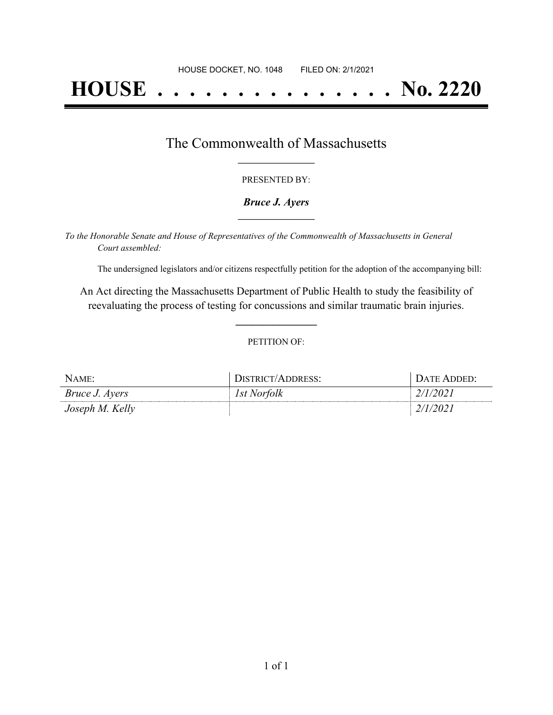# **HOUSE . . . . . . . . . . . . . . . No. 2220**

### The Commonwealth of Massachusetts **\_\_\_\_\_\_\_\_\_\_\_\_\_\_\_\_\_**

#### PRESENTED BY:

#### *Bruce J. Ayers* **\_\_\_\_\_\_\_\_\_\_\_\_\_\_\_\_\_**

*To the Honorable Senate and House of Representatives of the Commonwealth of Massachusetts in General Court assembled:*

The undersigned legislators and/or citizens respectfully petition for the adoption of the accompanying bill:

An Act directing the Massachusetts Department of Public Health to study the feasibility of reevaluating the process of testing for concussions and similar traumatic brain injuries.

**\_\_\_\_\_\_\_\_\_\_\_\_\_\_\_**

#### PETITION OF:

| NAME:                 | DISTRICT/ADDRESS:  | . Date Added: . |
|-----------------------|--------------------|-----------------|
| <i>Bruce J. Ayers</i> | <i>Ist Norfolk</i> | 2/1/2021        |
| Joseph M. Kelly       |                    | 2/1/2021        |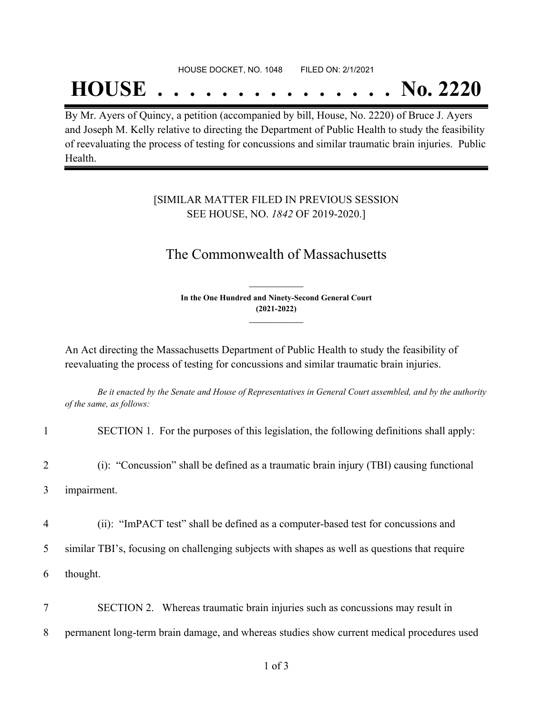#### HOUSE DOCKET, NO. 1048 FILED ON: 2/1/2021

## **HOUSE . . . . . . . . . . . . . . . No. 2220**

By Mr. Ayers of Quincy, a petition (accompanied by bill, House, No. 2220) of Bruce J. Ayers and Joseph M. Kelly relative to directing the Department of Public Health to study the feasibility of reevaluating the process of testing for concussions and similar traumatic brain injuries. Public Health.

#### [SIMILAR MATTER FILED IN PREVIOUS SESSION SEE HOUSE, NO. *1842* OF 2019-2020.]

## The Commonwealth of Massachusetts

**In the One Hundred and Ninety-Second General Court (2021-2022) \_\_\_\_\_\_\_\_\_\_\_\_\_\_\_**

**\_\_\_\_\_\_\_\_\_\_\_\_\_\_\_**

An Act directing the Massachusetts Department of Public Health to study the feasibility of reevaluating the process of testing for concussions and similar traumatic brain injuries.

Be it enacted by the Senate and House of Representatives in General Court assembled, and by the authority *of the same, as follows:*

|                  | SECTION 1. For the purposes of this legislation, the following definitions shall apply:       |  |
|------------------|-----------------------------------------------------------------------------------------------|--|
| 2                | (i): "Concussion" shall be defined as a traumatic brain injury (TBI) causing functional       |  |
| impairment.<br>3 |                                                                                               |  |
| 4                | (ii): "ImPACT test" shall be defined as a computer-based test for concussions and             |  |
| 5                | similar TBI's, focusing on challenging subjects with shapes as well as questions that require |  |
| 6                | thought.                                                                                      |  |
|                  | SECTION 2. Whereas traumatic brain injuries such as concussions may result in                 |  |
| 8                | permanent long-term brain damage, and whereas studies show current medical procedures used    |  |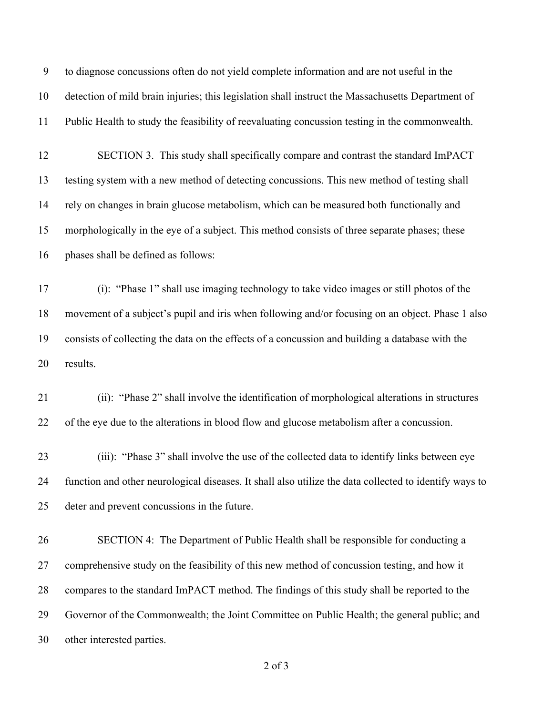to diagnose concussions often do not yield complete information and are not useful in the detection of mild brain injuries; this legislation shall instruct the Massachusetts Department of Public Health to study the feasibility of reevaluating concussion testing in the commonwealth. SECTION 3. This study shall specifically compare and contrast the standard ImPACT testing system with a new method of detecting concussions. This new method of testing shall rely on changes in brain glucose metabolism, which can be measured both functionally and morphologically in the eye of a subject. This method consists of three separate phases; these phases shall be defined as follows: (i): "Phase 1" shall use imaging technology to take video images or still photos of the movement of a subject's pupil and iris when following and/or focusing on an object. Phase 1 also consists of collecting the data on the effects of a concussion and building a database with the results. (ii): "Phase 2" shall involve the identification of morphological alterations in structures of the eye due to the alterations in blood flow and glucose metabolism after a concussion. (iii): "Phase 3" shall involve the use of the collected data to identify links between eye function and other neurological diseases. It shall also utilize the data collected to identify ways to deter and prevent concussions in the future. SECTION 4: The Department of Public Health shall be responsible for conducting a comprehensive study on the feasibility of this new method of concussion testing, and how it compares to the standard ImPACT method. The findings of this study shall be reported to the Governor of the Commonwealth; the Joint Committee on Public Health; the general public; and other interested parties.